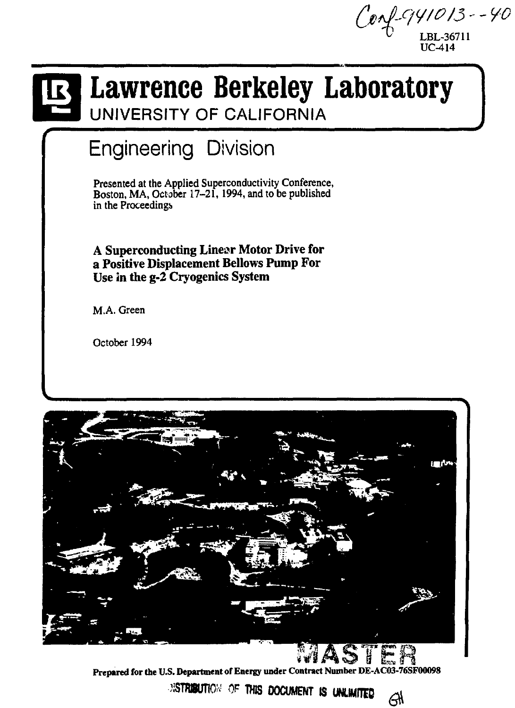*(jotpiwote - - yo*  **LBL-36711 UC-414** 

# *Lawrence Berkeley Laboratory*

**UNIVERSITY OF CALIFORNIA** 

## Engineering Division

Presented at the Applied Superconductivity Conference, Boston, MA, October 17-21, 1994, and to be published in the Proceedings

**A Superconducting Linear Motor Drive for a Positive Displacement Bellows Pump For Use in the g-2 Cryogenics System** 

M.A. Green

October 1994



**Prepared for the U.S. Department of Energy under Contract Number DE-AC03-76SF00098**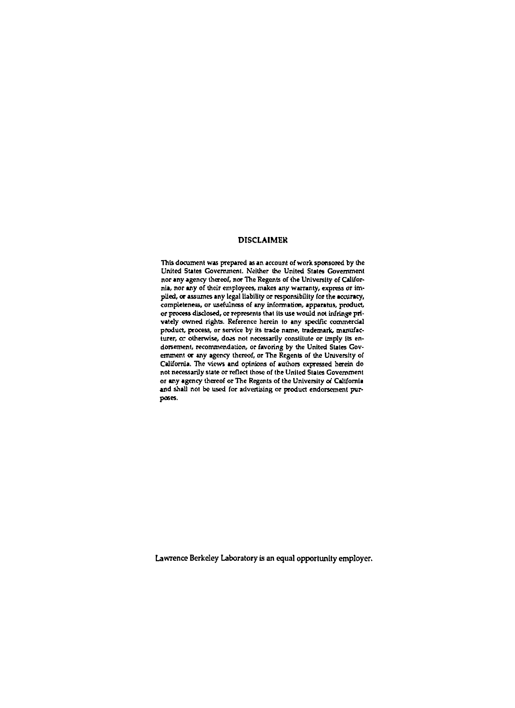#### **DISCLAIMER**

This document was prepared as an account of work sponsored by the United States Government. Neither the United States Government nor any agency thereof, nor The Regents of the University of California, nor any of their employees, makes any warranty, express or implied, or assumes any legal liability or responsibility for the accuracy, completeness, or usefulness of any information, apparatus, product, or process disclosed, or represents that its use would not infringe privately owned rights. Reference herein to any specific commercial product, process, or service by its trade name, trademark, manufacturer, or otherwise, does not necessarily constitute or imply its endorsement, recommendation, or favoring by the United Stales Government or any agency thereof, or The Regents of the University of California. The views and opinions of authors expressed herein do not necessarily state or reflect those of the United States Government or any agency thereof or The Regents of the University of California and shall not be used for advertising or product endorsement purposes.

**Lawrence Berkeley Laboratory is an equal opportunity employer.**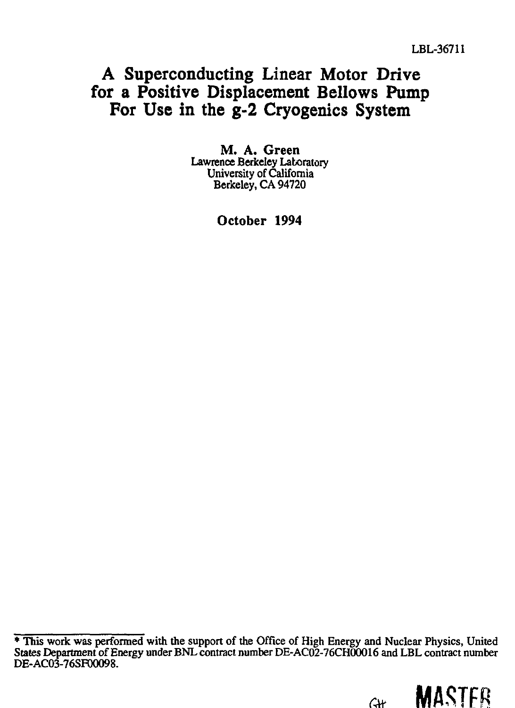### **A Superconducting Linear Motor Drive for a Positive Displacement Bellows Pump For Use in the g-2 Cryogenics System**

**M. A. Green**  Lawrence Berkeley Laboratory University of California Berkeley, CA 94720

**October 1994** 

<sup>\*</sup> This work was performed with the support of the Office of High Energy and Nuclear Physics, United States Department of Energy under BNL contract number DE-AC02-76CH00016 and LBL contract number DE-ACO3-76SF00O98.

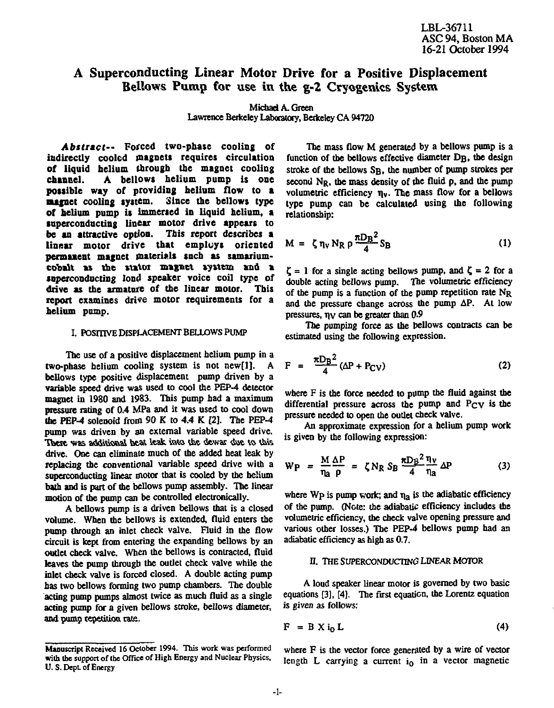#### A Superconducting Linear Motor Drive for a Positive Displacement Bellows Pump for use in the g-2 Cryogenics System

**Michael A. Green Lawrence Berkeley Laboratory, Berkeley CA 94720** 

*Abstract--* **Forced two-phase cooling of indirectly cooled magnets requires circulation of liquid helium through the magnet cooling chancel. A bellows helium pump is one possible way of providing helium flow to a magnet cooling system. Since the bellows type of helium pump is immersed in liquid helium, a superconducting linear motor drive appears to be an attractive option. This report describes a linear motor drive that employs oriented permanent magnet materials such as samariumcobalt as the stalor magnet system and a superconducting loud speaker voice coil type of drive as the armature of the linear motor. This report examines drive motor requirements for a helium pump.** 

#### **I. POSmVE DISPLACEMENT BELLOWS PUMP**

**The use of a positive displacement helium pump in a two-phase helium cooling system is not new[l]. A bellows type positive displacement pump driven by a variable speed drive was used to cool the PEP-4 detector magnet in 1980 and 1983. This pump had a maximum pressure rating of 0.4 MPa and it was used to cool down the PEP-4 solenoid from 90 K to 4.4 K [2]. The PEP-4 pump was driven by an external variable speed drive.**  These was additional beat leak into the dewar due to this **drive. One can eliminate much of the added heat leak by replacing the conventional variable speed drive with a superconducting linear motor that is cooled by the helium bath and is part of the bellows pump assembly. The linear motion of the pump can be controlled electronically.** 

**A bellows pump is a driven bellows that is a closed volume. When the bellows is extended, fluid enters the pump through an inlet check valve. Fluid in the flow circuit is kept from entering the expanding bellows by an outlet check valve. When the bellows is contracted, fluid leaves the pump through the outlet check valve while the inlet check valve is forced closed. A double acting pump has two bellows forming two pump chambers. The double acting pump pumps almost twice as much fluid as a single acting pump for a given bellows stroke, bellows diameter, and pump repetition rate.** 

**The mass flow M generated by a bellows pump is a**  function of the bellows effective diameter D<sub>B</sub>, the design stroke of the bellows S<sub>B</sub>, the number of pump strokes per second N<sub>P</sub>, the mass density of the fluid p, and the pump **volumetric efficiency n<sup>v</sup> . The mass flow for a bellows type pump can be calculated using the following relationship:** 

$$
M = \zeta \eta_V N_R \rho \frac{\pi D_B^2}{4} S_B \tag{1}
$$

 $\zeta = 1$  for a single acting bellows pump, and  $\zeta = 2$  for a **double acting bellows pump. The volumetric efficiency of the pump is a function of the pump repetition rate NR and the pressure change across the pump AP. At low pressures, nv can be greater than 0.9** 

**The pumping force as the bellows contracts can be estimated using the following expression.** 

$$
F = \frac{\pi D_B^2}{4} (\Delta P + P_{CV})
$$
 (2)

**where F is the force needed to pomp the fluid against the differential pressure across the pump and Pcv is the pressure needed to open the outlet check valve,** 

**An approximate expression for a helium pump work is given by the following expression:** 

$$
W_P = \frac{M}{\eta_a} \frac{\Delta P}{\rho} = \zeta N_R S_B \frac{\pi D_B^2}{4} \frac{\eta_V}{\eta_a} \Delta P \tag{3}
$$

where  $Wp$  is pump work; and  $\eta_a$  is the adiabatic efficiency **of the pump. (Note: the adiabatic efficiency includes the volumetric efficiency, the check valve opening pressure and various other losses.) The PEP-4 bellows pump had an adiabatic efficiency as high as 0.7.** 

#### **fj. THE SUPERCONDUCTING LINEAR MOTOR**

**A loud speaker linear motor is governed by two basic equations [3], [4]. The first equation, the Lorentz equation is given as follows:** 

$$
F = B X i_0 L \tag{4}
$$

**where F is the vector force generated by a wire of vector**  length L carrying a current i<sub>0</sub> in a vector magnetic

Manuscript Received 16 October 1994. This work was performed **with the** support of the Office of High Energy and Nuclear Physics, U.S.Dept of Energy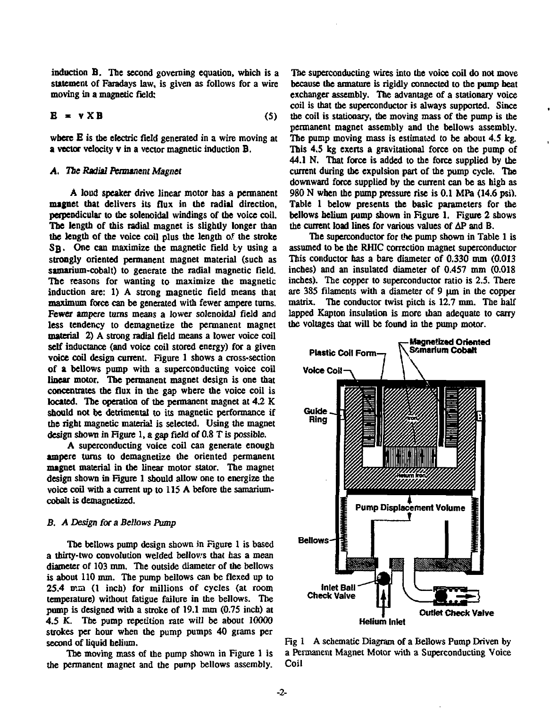**induction B. The second governing equation, which is a statement of Faradays law, is given as follows for a wire moving in a magnetic field:** 

$$
\mathbf{E} = \mathbf{v} \times \mathbf{B} \tag{5}
$$

**where E is the electric field generated in a wire moving at a vector velocity v in a vector magnetic induction B.** 

#### *A. The Radial Permanent Magnet*

**A loud speaker drive linear motor has a permanent magnet that delivers its flux in the radial direction, perpendicular to the solenoidal windings of the voice coil. The length of this radial magnet is slightly longer than the length of the voice coil plus the length of the stroke**  S<sub>B</sub>. One can maximize the magnetic field by using a **strongly oriented permanent magnet material (such as samarium-cobalt) to generate the radial magnetic field. The reasons for wanting to maximize the magnetic induction are: 1) A strong magnetic field means that maximum force can be generated with fewer ampere turns. Fewer ampere turns means a lower solenoidal field and less tendency to demagnetize the permanent magnet material 2) A strong radial field means a lower voice coil self inductance (and voice coil stored energy) for a given voice coil design current. Figure 1 shows a cross-section of a bellows pump with a superconducting voice coil linear motor. The permanent magnet design is one that concentrates the flux in the gap where the voice coil is located. The operation of the permanent magnet at 4.2 K should not be detrimental to its magnetic performance if the right magnetic material is selected. Using the magnet design shown in Figure 1, a gap field of 0.8 T is possible.** 

**A superconducting voice coil can generate enough ampere turns to demagnetize the oriented permanent magnet material in the linear motor stator. The magnet design shown in Figure 1 should allow one to energize the voice coil with a current up to 115 A before the samariumcobalt is demagnetized.** 

#### *B. A Design for a Bellows Pump*

**The bellows pump design shown in Figure 1 is based a thirty-two convolution welded bellows that has a mean diameter of 103 mm. The outside diameter of the bellows is about 110 mm. The pump bellows can be flexed up to 25.4 mm (1 inch) for millions of cycles (at room temperature) without fatigue failure in the bellows. The pump is designed with a stroke of 19.1 mm (0.75 inch) at 4.5 K. The pump repetition rate will be about 10000 strokes per hour when the pump pumps 40 grams per second of liquid helium.** 

**The moving mass of the pump shown in Figure 1 is the permanent magnet and the pump bellows assembly.** 

**The superconducting wires into the voice coil do not move because the armature is rigidly connected to the pump beat exchanger assembly. The advantage of a stationary voice coil is that the superconductor is always supported. Since the coil is stationary, the moving mass of the pump is the permanent magnet assembly and the bellows assembly. The pump moving mass is estimated to be about 4.5 kg. This 4.5 kg exerts a gravitational force on the pump of 44.1 N. That force is added to the force supplied by the current during the expulsion part of the pump cycle. The downward force supplied by the current can be as high as 980 N when the pump pressure rise is 0.1 MPa (14.6 psi). Table 1 below presents the basic parameters for the bellows helium pump shown in Figure 1. Figure 2 shows the current load lines for various values of AP and B.** 

**The superconductor for the pump shown in Table 1 is assumed to be the RHIC correction magnet superconductor This conductor has a bare diameter of 0.330 mm (0.013 inches) and an insulated diameter of 0.457 mm (0.018 inches). The copper to superconductor ratio is 2.5. There**  are 385 filaments with a diameter of 9 um in the copper **matrix. The conductor twist pitch is 12.7 mm. The half lapped Kapton insulation is more than adequate to carry the voltages that will be found in the pump motor.** 



**Fig 1 A schematic Diagram of a Bellows Pump Driven by a Permanent Magnet Motor with a Superconducting Voice Coil**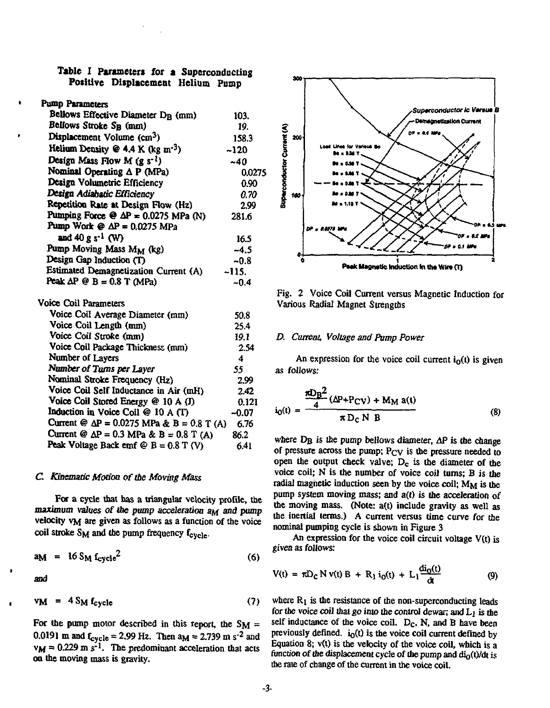#### **Table I Parameters** for **a** Superconducting **Positive Displacement** Helium Pump

#### Pump Parameters

| Bellows Effective Diameter D <sub>R</sub> (mm)     | 103.    |
|----------------------------------------------------|---------|
| Bellows Stroke S <sub>B</sub> (mm)                 | 19.     |
| Displacement Volume (cm <sup>3</sup> )             | 158.3   |
| Helium Density @ 4.4 K (kg $m^{-3}$ )              | ~120    |
| Design Mass Flow M $(g s^{-1})$                    | $-40$   |
| Nominal Operating $\Delta P$ (MPa)                 | 0.0275  |
| Design Volumetric Efficiency                       | 0.90    |
| Design Adiabatic Efficiency                        | 0.70    |
| Repetition Rate at Design Flow (Hz)                | 2.99    |
| Pumping Force $\Theta$ $\Delta P = 0.0275$ MPa (N) | 281.6   |
| Pump Work $\omega \Delta P = 0.0275 \text{ MPa}$   |         |
| and 40 g s <sup>-1</sup> (W)                       | 16.5    |
| Pump Moving Mass MM (kg)                           | $-4.5$  |
| Design Gap Induction (T)                           | $-0.8$  |
| Estimated Demagnetization Current (A)              | -115.   |
| Peak $\Delta P \otimes B = 0.8$ T (MPa)            | $-0.4$  |
| Voice Coil Parameters                              |         |
| Voice Coil Average Diameter (mm)                   | 50.8    |
| Voice Coil Length (mm)                             | 25.4    |
| Voice Coil Stroke (mm)                             | 19.1    |
| Voice Coil Package Thickness (mm)                  | 2.54    |
| Number of Layers                                   | 4       |
| Number of Turns per Layer                          | 55      |
| Nominal Stroke Frequency (Hz)                      | 2.99    |
| Voice Coil Self Inductance in Air (mH)             | 2.42    |
| Voice Coil Stored Energy @ 10 A (J)                | 0.121   |
| Induction in Voice Coil $@ 10 A(T)$                | $-0.07$ |
| Current @ $\Delta P = 0.0275$ MPa & B = 0.8 T (A)  | 6.76    |
| Current @ $\Delta P = 0.3$ MPa & B = 0.8 T (A)     | 86.2    |
| Peak Voltage Back emf $\mathfrak{G}$ B = 0.8 T (V) | 6.41    |

#### *C. Kinematic Modem of the Moving Mass*

For a cycle that has a triangular velocity profile, the maximum values of the pump acceleration a<sub>M</sub> and pump velocity VM ate given as follows as a function of the voice coil stroke  $S_M$  and the pump frequency  $f_{\text{cycle}}$ .

$$
a_{\rm M} = 16 S_{\rm M} f_{\rm cycle}^2 \tag{6}
$$

and

$$
v_{\mathbf{M}} = 4 S_{\mathbf{M}} f_{\text{cycle}} \tag{7}
$$

For the pump motor described in this report, the  $SM =$ 0.0191 m and  $f_{\text{cycle}} = 2.99$  Hz. Then  $a_M = 2.739$  m s<sup>-2</sup> and  $v_M$  = 0.229 m s<sup>-1</sup>. The predominant acceleration that acts on the moving mass is gravity.



Fig. 2 Voice Coil Current versus Magnetic Induction for Various Radial Magnet Strengths

#### *D. Current, Voltage and Pump Power*

An expression for the voice coil current  $i<sub>0</sub>(t)$  is given as follows:

$$
i_0(t) = \frac{\pi D_B^2}{4} \frac{(\Delta P + P_{CV}) + M_M a(t)}{\pi D_C N B}
$$
 (8)

where  $D_B$  is the pump bellows diameter,  $\Delta P$  is the change of pressure across the pump;  $P_{CV}$  is the pressure needed to open the output check valve;  $D_c$  is the diameter of the voice coil; N is the number of voice coil turns; B is the radial magnetic induction seen by the voice coil;  $M_M$  is the pump system moving mass; and  $a(t)$  is the acceleration of the moving mass. (Note: a(t) include gravity as well as the inertial terms.) A current versus time curve for the nominal pumping cycle is shown in Figure 3

An expression for the voice coil circuit voltage V(t) is given as follows:

$$
V(t) = \pi D_C N v(t) B + R_1 i_0(t) + L_1 \frac{di_0(t)}{dt}
$$
 (9)

where  $R_1$  is the resistance of the non-superconducting leads for the voice coil that go into the control dewar; and L<sub>1</sub> is the self inductance of the voice coil.  $D<sub>C</sub>$ , N, and B have been previously defined.  $i_0(t)$  is the voice coil current defined by Equation 8;  $v(t)$  is the velocity of the voice coil, which is a function of the displacement cycle of the pump and  $di_0(t)/dt$  is the rate of change of the current in the voice coil.